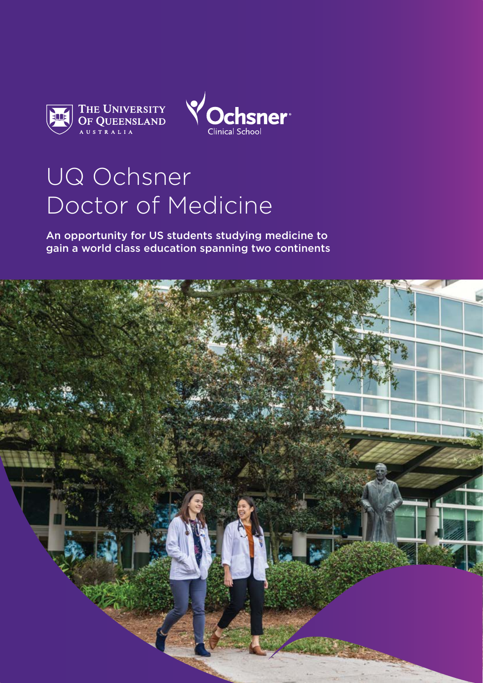



# UQ Ochsner Doctor of Medicine

An opportunity for US students studying medicine to gain a world class education spanning two continents

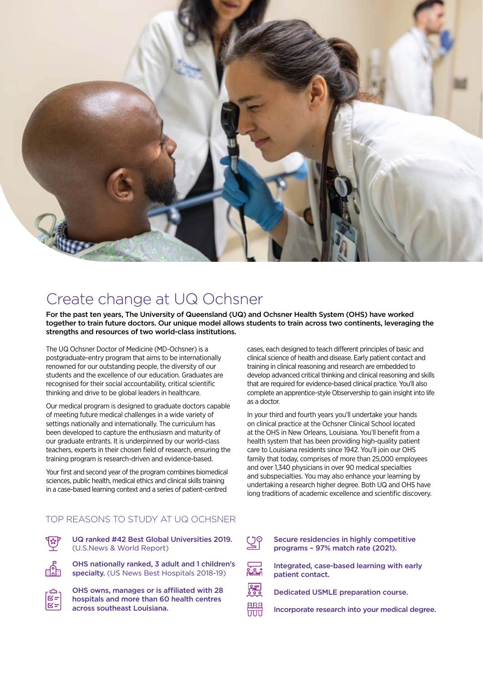

### Create change at UQ Ochsner

For the past ten years, The University of Queensland (UQ) and Ochsner Health System (OHS) have worked together to train future doctors. Our unique model allows students to train across two continents, leveraging the strengths and resources of two world-class institutions.

The UQ Ochsner Doctor of Medicine (MD-Ochsner) is a postgraduate-entry program that aims to be internationally renowned for our outstanding people, the diversity of our students and the excellence of our education. Graduates are recognised for their social accountability, critical scientific thinking and drive to be global leaders in healthcare.

Our medical program is designed to graduate doctors capable of meeting future medical challenges in a wide variety of settings nationally and internationally. The curriculum has been developed to capture the enthusiasm and maturity of our graduate entrants. It is underpinned by our world-class teachers, experts in their chosen field of research, ensuring the training program is research-driven and evidence-based.

Your first and second year of the program combines biomedical sciences, public health, medical ethics and clinical skills training in a case-based learning context and a series of patient-centred

cases, each designed to teach different principles of basic and clinical science of health and disease. Early patient contact and training in clinical reasoning and research are embedded to develop advanced critical thinking and clinical reasoning and skills that are required for evidence-based clinical practice. You'll also complete an apprentice-style Observership to gain insight into life as a doctor.

In your third and fourth years you'll undertake your hands on clinical practice at the Ochsner Clinical School located at the OHS in New Orleans, Louisiana. You'll benefit from a health system that has been providing high-quality patient care to Louisiana residents since 1942. You'll join our OHS family that today, comprises of more than 25,000 employees and over 1,340 physicians in over 90 medical specialties and subspecialties. You may also enhance your learning by undertaking a research higher degree. Both UQ and OHS have long traditions of academic excellence and scientific discovery.

### TOP REASONS TO STUDY AT UQ OCHSNER



UQ ranked #42 Best Global Universities 2019. (U.S.News & World Report)



OHS nationally ranked, 3 adult and 1 children's

specialty. (US News Best Hospitals 2018-19)



OHS owns, manages or is affiliated with 28 hospitals and more than 60 health centres across southeast Louisiana.

programs – 97% match rate (2021).



Integrated, case-based learning with early patient contact.

Secure residencies in highly competitive

Dedicated USMLE preparation course.

鼺 Incorporate research into your medical degree.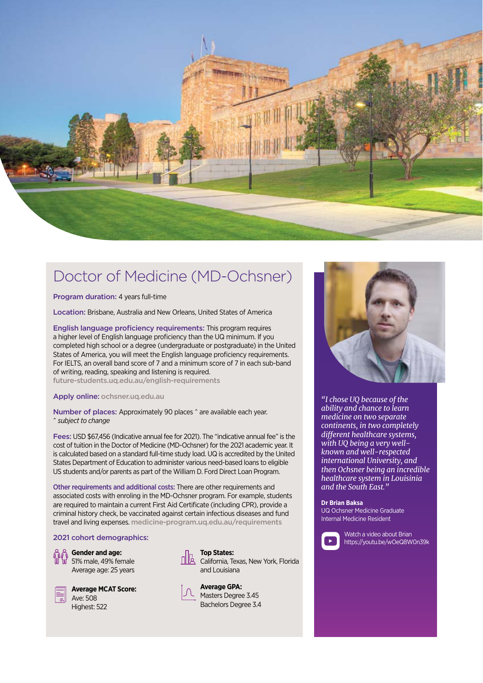

### Doctor of Medicine (MD-Ochsner)

Program duration: 4 years full-time

Location: Brisbane, Australia and New Orleans, United States of America

English language proficiency requirements: This program requires a higher level of English language proficiency than the UQ minimum. If you completed high school or a degree (undergraduate or postgraduate) in the United States of America, you will meet the English language proficiency requirements. For IELTS, an overall band score of 7 and a minimum score of 7 in each sub-band of writing, reading, speaking and listening is required.

[future-students.uq.edu.au/english-requirements](http://future-students.uq.edu.au/english-requirements) 

### Apply online: ochsner.ug.edu.au

Number of places: Approximately 90 places  $\hat{ }$  are available each year. ^ *subject to change*

Fees: USD \$67,456 (Indicative annual fee for 2021). The "indicative annual fee" is the cost of tuition in the Doctor of Medicine (MD-Ochsner) for the 2021 academic year. It is calculated based on a standard full-time study load. UQ is accredited by the United States Department of Education to administer various need-based loans to eligible US students and/or parents as part of the William D. Ford Direct Loan Program.

Other requirements and additional costs: There are other requirements and associated costs with enroling in the MD-Ochsner program. For example, students are required to maintain a current First Aid Certificate (including CPR), provide a criminal history check, be vaccinated against certain infectious diseases and fund travel and living expenses. [medicine-program.uq.edu.au/requirements](https://medicine-program.uq.edu.au/current-students/compulsory-program-requirements)

### 2021 cohort demographics:

**Gender and age:** W 51% male, 49% female Average age: 25 years



**Average MCAT Score:** Ave: 508 Highest: 522



**Top States: California, Texas, New York, Florida** and Louisiana



**Average GPA:** Masters Degree 3.45



*"I chose UQ because of the ability and chance to learn medicine on two separate continents, in two completely different healthcare systems, with UQ being a very wellknown and well-respected international University, and then Ochsner being an incredible healthcare system in Louisinia and the South East."*

#### **Dr Brian Baksa**

UQ Ochsner Medicine Graduate Internal Medicine Resident



Watch a video about Brian https://youtu.be/wOeQ8W0n39k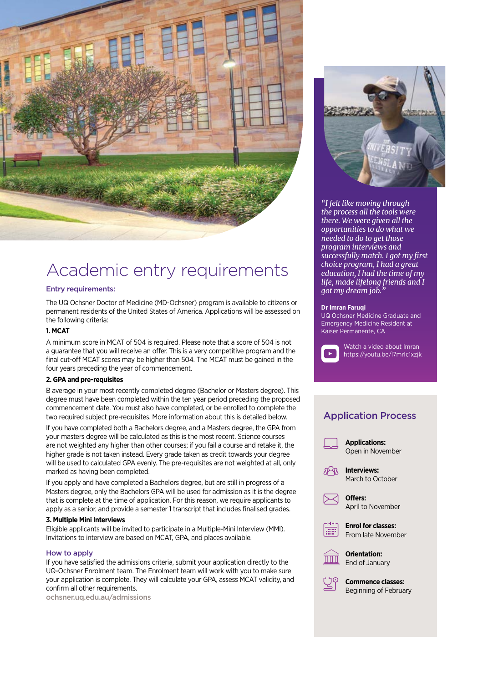

## Academic entry requirements

#### Entry requirements:

The UQ Ochsner Doctor of Medicine (MD-Ochsner) program is available to citizens or permanent residents of the United States of America. Applications will be assessed on the following criteria:

### **1. MCAT**

A minimum score in MCAT of 504 is required. Please note that a score of 504 is not a guarantee that you will receive an offer. This is a very competitive program and the final cut-off MCAT scores may be higher than 504. The MCAT must be gained in the four years preceding the year of commencement.

### **2. GPA and pre-requisites**

B average in your most recently completed degree (Bachelor or Masters degree). This degree must have been completed within the ten year period preceding the proposed commencement date. You must also have completed, or be enrolled to complete the two required subject pre-requisites. More information about this is detailed below.

If you have completed both a Bachelors degree, and a Masters degree, the GPA from your masters degree will be calculated as this is the most recent. Science courses are not weighted any higher than other courses; if you fail a course and retake it, the higher grade is not taken instead. Every grade taken as credit towards your degree will be used to calculated GPA evenly. The pre-requisites are not weighted at all, only marked as having been completed.

If you apply and have completed a Bachelors degree, but are still in progress of a Masters degree, only the Bachelors GPA will be used for admission as it is the degree that is complete at the time of application. For this reason, we require applicants to apply as a senior, and provide a semester 1 transcript that includes finalised grades.

### **3. Multiple Mini Interviews**

Eligible applicants will be invited to participate in a Multiple-Mini Interview (MMI). Invitations to interview are based on MCAT, GPA, and places available.

#### How to apply

If you have satisfied the admissions criteria, submit your application directly to the UQ-Ochsner Enrolment team. The Enrolment team will work with you to make sure your application is complete. They will calculate your GPA, assess MCAT validity, and confirm all other requirements.

[ochsner.uq.edu.au/admissions](http://ochsner.uq.edu.au/admissions)



Matched residency specialties: *"I felt like moving through the process all the tools were there. We were given all the opportunities to do what we needed to do to get those program interviews and successfully match. I got my first choice program, I had a great education, I had the time of my life, made lifelong friends and I got my dream job."*

#### **Dr Imran Faruqi**

UQ Ochsner Medicine Graduate and Emergency Medicine Resident at Kaiser Permanente, CA



Watch a video about Imran https://youtu.be/l7mrIc1xzjk

### Application Process

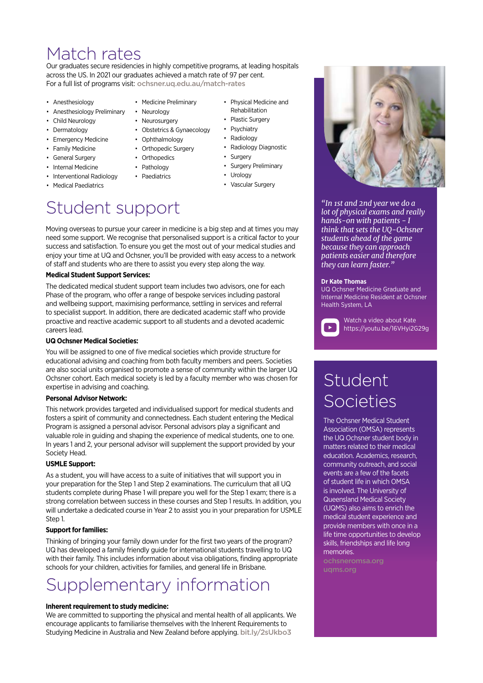### Match rates

Our graduates secure residencies in highly competitive programs, at leading hospitals across the US. In 2021 our graduates achieved a match rate of 97 per cent. For a full list of programs visit: [ochsner.uq.edu.au/match-rates](http://ochsner.uq.edu.au/match-rates)

> • Obstetrics & Gynaecology • Ophthalmology • Orthopedic Surgery • Orthopedics • Pathology • Paediatrics

• Medicine Preliminary

• Neurology • Neurosurgery

- Anesthesiology
- Anesthesiology Preliminary
- Child Neurology
- Dermatology
- Emergency Medicine
- Family Medicine
- General Surgery
- Internal Medicine
- Interventional Radiology
- Medical Paediatrics
- Physical Medicine and Rehabilitation
	- Plastic Surgery
	- Psychiatry
	- Radiology
	- Radiology Diagnostic
	- Surgery
	- Surgery Preliminary
	- Urology
	- Vascular Surgery

### Student support

Moving overseas to pursue your career in medicine is a big step and at times you may need some support. We recognise that personalised support is a critical factor to your success and satisfaction. To ensure you get the most out of your medical studies and enjoy your time at UQ and Ochsner, you'll be provided with easy access to a network of staff and students who are there to assist you every step along the way.

### **Medical Student Support Services:**

The dedicated medical student support team includes two advisors, one for each Phase of the program, who offer a range of bespoke services including pastoral and wellbeing support, maximising performance, settling in services and referral to specialist support. In addition, there are dedicated academic staff who provide proactive and reactive academic support to all students and a devoted academic careers lead.

### **UQ Ochsner Medical Societies:**

You will be assigned to one of five medical societies which provide structure for educational advising and coaching from both faculty members and peers. Societies are also social units organised to promote a sense of community within the larger UQ Ochsner cohort. Each medical society is led by a faculty member who was chosen for expertise in advising and coaching.

### **Personal Advisor Network:**

This network provides targeted and individualised support for medical students and fosters a spirit of community and connectedness. Each student entering the Medical Program is assigned a personal advisor. Personal advisors play a significant and valuable role in guiding and shaping the experience of medical students, one to one. In years 1 and 2, your personal advisor will supplement the support provided by your Society Head.

### **USMLE Support:**

As a student, you will have access to a suite of initiatives that will support you in your preparation for the Step 1 and Step 2 examinations. The curriculum that all UQ students complete during Phase 1 will prepare you well for the Step 1 exam; there is a strong correlation between success in these courses and Step 1 results. In addition, you will undertake a dedicated course in Year 2 to assist you in your preparation for USMLE Step 1.

### **Support for families:**

Thinking of bringing your family down under for the first two years of the program? UQ has developed a family friendly guide for international students travelling to UQ with their family. This includes information about visa obligations, finding appropriate schools for your children, activities for families, and general life in Brisbane.

# Supplementary information

### **Inherent requirement to study medicine:**

We are committed to supporting the physical and mental health of all applicants. We encourage applicants to familiarise themselves with the Inherent Requirements to Studying Medicine in Australia and New Zealand before applying. [bit.ly/2sUkbo3](http://bit.ly/2sUkbo3)



*"In 1st and 2nd year we do a lot of physical exams and really hands-on with patients - I think that sets the UQ-Ochsner students ahead of the game because they can approach patients easier and therefore they can learn faster."*

#### **Dr Kate Thomas**

UQ Ochsner Medicine Graduate and Internal Medicine Resident at Ochsner Health System, LA



Watch a video about Kate https://youtu.be/16VHyi2G29g

# Student **Societies**

The Ochsner Medical Student Association (OMSA) represents the UQ Ochsner student body in matters related to their medical education. Academics, research, community outreach, and social events are a few of the facets of student life in which OMSA is involved. The University of Queensland Medical Society (UQMS) also aims to enrich the medical student experience and provide members with once in a life time opportunities to develop skills, friendships and life long memories.

[uqms.org](http://uqms.org)